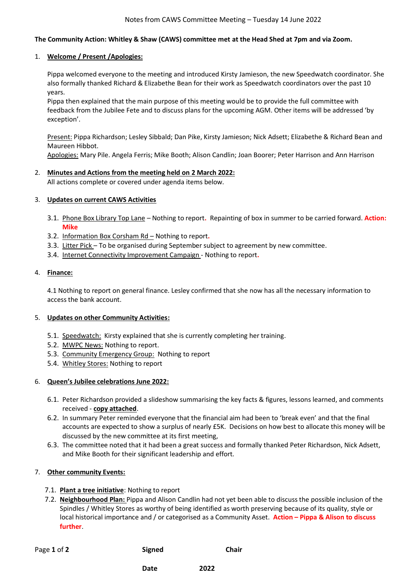## **The Community Action: Whitley & Shaw (CAWS) committee met at the Head Shed at 7pm and via Zoom.**

### 1. **Welcome / Present /Apologies:**

Pippa welcomed everyone to the meeting and introduced Kirsty Jamieson, the new Speedwatch coordinator. She also formally thanked Richard & Elizabethe Bean for their work as Speedwatch coordinators over the past 10 years.

Pippa then explained that the main purpose of this meeting would be to provide the full committee with feedback from the Jubilee Fete and to discuss plans for the upcoming AGM. Other items will be addressed 'by exception'.

Present: Pippa Richardson; Lesley Sibbald; Dan Pike, Kirsty Jamieson; Nick Adsett; Elizabethe & Richard Bean and Maureen Hibbot.

Apologies: Mary Pile. Angela Ferris; Mike Booth; Alison Candlin; Joan Boorer; Peter Harrison and Ann Harrison

### 2. **Minutes and Actions from the meeting held on 2 March 2022:**

All actions complete or covered under agenda items below.

### 3. **Updates on current CAWS Activities**

- 3.1. Phone Box Library Top Lane Nothing to report**.** Repainting of box in summer to be carried forward. **Action: Mike**
- 3.2. Information Box Corsham Rd Nothing to report**.**
- 3.3. Litter Pick To be organised during September subject to agreement by new committee.
- 3.4. Internet Connectivity Improvement Campaign Nothing to report**.**

#### 4. **Finance:**

4.1 Nothing to report on general finance. Lesley confirmed that she now has all the necessary information to access the bank account.

## 5. **Updates on other Community Activities:**

- 5.1. Speedwatch: Kirsty explained that she is currently completing her training.
- 5.2. MWPC News: Nothing to report.
- 5.3. Community Emergency Group: Nothing to report
- 5.4. Whitley Stores: Nothing to report

#### 6. **Queen's Jubilee celebrations June 2022:**

- 6.1. Peter Richardson provided a slideshow summarising the key facts & figures, lessons learned, and comments received - **copy attached**.
- 6.2. In summary Peter reminded everyone that the financial aim had been to 'break even' and that the final accounts are expected to show a surplus of nearly £5K. Decisions on how best to allocate this money will be discussed by the new committee at its first meeting,
- 6.3. The committee noted that it had been a great success and formally thanked Peter Richardson, Nick Adsett, and Mike Booth for their significant leadership and effort.

## 7. **Other community Events:**

- 7.1. **Plant a tree initiative**: Nothing to report
- 7.2. **Neighbourhood Plan:** Pippa and Alison Candlin had not yet been able to discuss the possible inclusion of the Spindles / Whitley Stores as worthy of being identified as worth preserving because of its quality, style or local historical importance and / or categorised as a Community Asset. **Action – Pippa & Alison to discuss further**.

| Page 1 of 2 | Signed | <b>Chair</b> |
|-------------|--------|--------------|

**Date** 2022